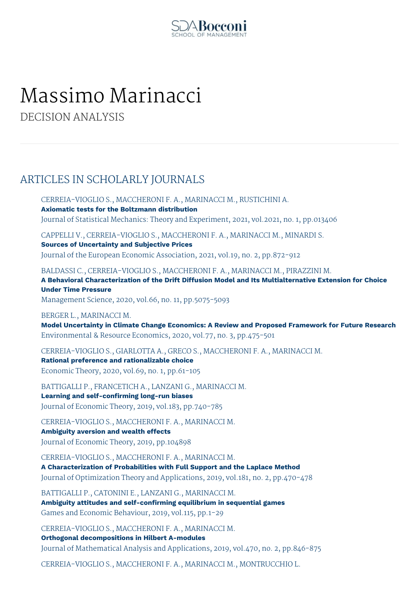

# Massimo Marinacci

DECISION ANALYSIS

# ARTICLES IN SCHOLARLY JOURNALS

CERREIA-VIOGLIO S., MACCHERONI F. A., MARINACCI M., RUSTICHINI A. **Axiomatic tests for the Boltzmann distribution** Journal of Statistical Mechanics: Theory and Experiment, 2021, vol.2021, no. 1, pp.013406

CAPPELLI V., CERREIA-VIOGLIO S., MACCHERONI F. A., MARINACCI M., MINARDI S.

**Sources of Uncertainty and Subjective Prices** Journal of the European Economic Association, 2021, vol.19, no. 2, pp.872-912

BALDASSI C., CERREIA-VIOGLIO S., MACCHERONI F. A., MARINACCI M., PIRAZZINI M.

**A Behavioral Characterization of the Drift Diffusion Model and Its Multialternative Extension for Choice Under Time Pressure**

Management Science, 2020, vol.66, no. 11, pp.5075-5093

BERGER L., MARINACCI M.

**Model Uncertainty in Climate Change Economics: A Review and Proposed Framework for Future Research** Environmental & Resource Economics, 2020, vol.77, no. 3, pp.475-501

CERREIA-VIOGLIO S., GIARLOTTA A., GRECO S., MACCHERONI F. A., MARINACCI M. **Rational preference and rationalizable choice** Economic Theory, 2020, vol.69, no. 1, pp.61-105

BATTIGALLI P., FRANCETICH A., LANZANI G., MARINACCI M. **Learning and self-confirming long-run biases** Journal of Economic Theory, 2019, vol.183, pp.740-785

CERREIA-VIOGLIO S., MACCHERONI F. A., MARINACCI M. **Ambiguity aversion and wealth effects** Journal of Economic Theory, 2019, pp.104898

CERREIA-VIOGLIO S., MACCHERONI F. A., MARINACCI M. **A Characterization of Probabilities with Full Support and the Laplace Method** Journal of Optimization Theory and Applications, 2019, vol.181, no. 2, pp.470-478

BATTIGALLI P., CATONINI E., LANZANI G., MARINACCI M. **Ambiguity attitudes and self-confirming equilibrium in sequential games** Games and Economic Behaviour, 2019, vol.115, pp.1-29

CERREIA-VIOGLIO S., MACCHERONI F. A., MARINACCI M. **Orthogonal decompositions in Hilbert A-modules** Journal of Mathematical Analysis and Applications, 2019, vol.470, no. 2, pp.846-875

CERREIA-VIOGLIO S., MACCHERONI F. A., MARINACCI M., MONTRUCCHIO L.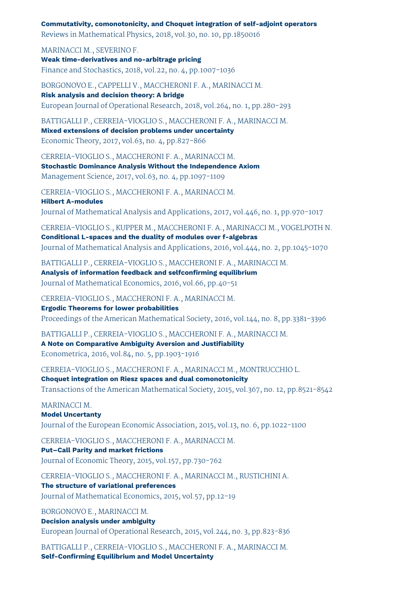**Commutativity, comonotonicity, and Choquet integration of self-adjoint operators** Reviews in Mathematical Physics, 2018, vol.30, no. 10, pp.1850016

MARINACCI M., SEVERINO F. **Weak time-derivatives and no-arbitrage pricing** Finance and Stochastics, 2018, vol.22, no. 4, pp.1007-1036

BORGONOVO E., CAPPELLI V., MACCHERONI F. A., MARINACCI M. **Risk analysis and decision theory: A bridge** European Journal of Operational Research, 2018, vol.264, no. 1, pp.280-293

BATTIGALLI P., CERREIA-VIOGLIO S., MACCHERONI F. A., MARINACCI M.

**Mixed extensions of decision problems under uncertainty** Economic Theory, 2017, vol.63, no. 4, pp.827-866

CERREIA-VIOGLIO S., MACCHERONI F. A., MARINACCI M. **Stochastic Dominance Analysis Without the Independence Axiom** Management Science, 2017, vol.63, no. 4, pp.1097-1109

CERREIA-VIOGLIO S., MACCHERONI F. A., MARINACCI M. **Hilbert A-modules** Journal of Mathematical Analysis and Applications, 2017, vol.446, no. 1, pp.970-1017

CERREIA-VIOGLIO S., KUPPER M., MACCHERONI F. A., MARINACCI M., VOGELPOTH N. **Conditional L-spaces and the duality of modules over f-algebras** Journal of Mathematical Analysis and Applications, 2016, vol.444, no. 2, pp.1045-1070

BATTIGALLI P., CERREIA-VIOGLIO S., MACCHERONI F. A., MARINACCI M. **Analysis of information feedback and selfconfirming equilibrium** Journal of Mathematical Economics, 2016, vol.66, pp.40-51

CERREIA-VIOGLIO S., MACCHERONI F. A., MARINACCI M. **Ergodic Theorems for lower probabilities**

Proceedings of the American Mathematical Society, 2016, vol.144, no. 8, pp.3381-3396

BATTIGALLI P., CERREIA-VIOGLIO S., MACCHERONI F. A., MARINACCI M. **A Note on Comparative Ambiguity Aversion and Justifiability** Econometrica, 2016, vol.84, no. 5, pp.1903-1916

CERREIA-VIOGLIO S., MACCHERONI F. A., MARINACCI M., MONTRUCCHIO L. **Choquet integration on Riesz spaces and dual comonotonicity** Transactions of the American Mathematical Society, 2015, vol.367, no. 12, pp.8521-8542

#### MARINACCI M.

**Model Uncertanty** Journal of the European Economic Association, 2015, vol.13, no. 6, pp.1022-1100

CERREIA-VIOGLIO S., MACCHERONI F. A., MARINACCI M. **Put–Call Parity and market frictions**

Journal of Economic Theory, 2015, vol.157, pp.730-762

CERREIA-VIOGLIO S., MACCHERONI F. A., MARINACCI M., RUSTICHINI A. **The structure of variational preferences** Journal of Mathematical Economics, 2015, vol.57, pp.12-19

BORGONOVO E., MARINACCI M.

#### **Decision analysis under ambiguity**

European Journal of Operational Research, 2015, vol.244, no. 3, pp.823-836

BATTIGALLI P., CERREIA-VIOGLIO S., MACCHERONI F. A., MARINACCI M. **Self-Confirming Equilibrium and Model Uncertainty**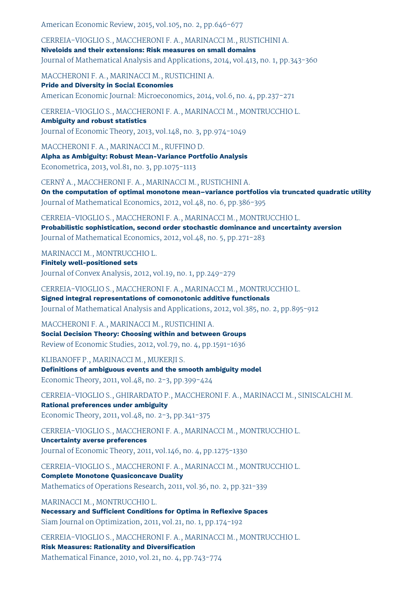American Economic Review, 2015, vol.105, no. 2, pp.646-677

CERREIA-VIOGLIO S., MACCHERONI F. A., MARINACCI M., RUSTICHINI A. **Niveloids and their extensions: Risk measures on small domains** Journal of Mathematical Analysis and Applications, 2014, vol.413, no. 1, pp.343-360

MACCHERONI F. A., MARINACCI M., RUSTICHINI A.

**Pride and Diversity in Social Economies** American Economic Journal: Microeconomics, 2014, vol.6, no. 4, pp.237-271

CERREIA-VIOGLIO S., MACCHERONI F. A., MARINACCI M., MONTRUCCHIO L. **Ambiguity and robust statistics**

Journal of Economic Theory, 2013, vol.148, no. 3, pp.974-1049

MACCHERONI F. A., MARINACCI M., RUFFINO D. **Alpha as Ambiguity: Robust Mean-Variance Portfolio Analysis** Econometrica, 2013, vol.81, no. 3, pp.1075-1113

CERNÝ A., MACCHERONI F. A., MARINACCI M., RUSTICHINI A. **On the computation of optimal monotone mean–variance portfolios via truncated quadratic utility** Journal of Mathematical Economics, 2012, vol.48, no. 6, pp.386-395

CERREIA-VIOGLIO S., MACCHERONI F. A., MARINACCI M., MONTRUCCHIO L. **Probabilistic sophistication, second order stochastic dominance and uncertainty aversion** Journal of Mathematical Economics, 2012, vol.48, no. 5, pp.271-283

MARINACCI M., MONTRUCCHIO L. **Finitely well-positioned sets**

Journal of Convex Analysis, 2012, vol.19, no. 1, pp.249-279

CERREIA-VIOGLIO S., MACCHERONI F. A., MARINACCI M., MONTRUCCHIO L. **Signed integral representations of comonotonic additive functionals** Journal of Mathematical Analysis and Applications, 2012, vol.385, no. 2, pp.895-912

MACCHERONI F. A., MARINACCI M., RUSTICHINI A. **Social Decision Theory: Choosing within and between Groups** Review of Economic Studies, 2012, vol.79, no. 4, pp.1591-1636

KLIBANOFF P., MARINACCI M., MUKERJI S. **Definitions of ambiguous events and the smooth ambiguity model** Economic Theory, 2011, vol.48, no. 2-3, pp.399-424

CERREIA-VIOGLIO S., GHIRARDATO P., MACCHERONI F. A., MARINACCI M., SINISCALCHI M. **Rational preferences under ambiguity** Economic Theory, 2011, vol.48, no. 2-3, pp.341-375

CERREIA-VIOGLIO S., MACCHERONI F. A., MARINACCI M., MONTRUCCHIO L. **Uncertainty averse preferences**

Journal of Economic Theory, 2011, vol.146, no. 4, pp.1275-1330

CERREIA-VIOGLIO S., MACCHERONI F. A., MARINACCI M., MONTRUCCHIO L. **Complete Monotone Quasiconcave Duality**

Mathematics of Operations Research, 2011, vol.36, no. 2, pp.321-339

MARINACCI M., MONTRUCCHIO L.

**Necessary and Sufficient Conditions for Optima in Reflexive Spaces** Siam Journal on Optimization, 2011, vol.21, no. 1, pp.174-192

CERREIA-VIOGLIO S., MACCHERONI F. A., MARINACCI M., MONTRUCCHIO L. **Risk Measures: Rationality and Diversification** Mathematical Finance, 2010, vol.21, no. 4, pp.743-774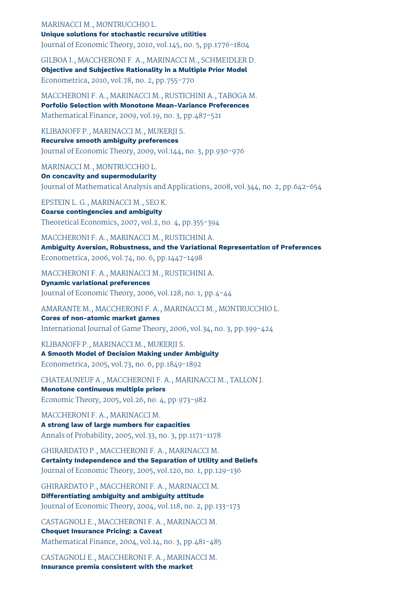#### MARINACCI M., MONTRUCCHIO L. **Unique solutions for stochastic recursive utilities** Journal of Economic Theory, 2010, vol.145, no. 5, pp.1776-1804

GILBOA I., MACCHERONI F. A., MARINACCI M., SCHMEIDLER D. **Objective and Subjective Rationality in a Multiple Prior Model** Econometrica, 2010, vol.78, no. 2, pp.755-770

MACCHERONI F. A., MARINACCI M., RUSTICHINI A., TABOGA M. **Porfolio Selection with Monotone Mean-Variance Preferences** Mathematical Finance, 2009, vol.19, no. 3, pp.487-521

KLIBANOFF P., MARINACCI M., MUKERJI S.

**Recursive smooth ambiguity preferences** Journal of Economic Theory, 2009, vol.144, no. 3, pp.930-976

MARINACCI M., MONTRUCCHIO L.

**On concavity and supermodularity** Journal of Mathematical Analysis and Applications, 2008, vol.344, no. 2, pp.642-654

EPSTEIN L. G., MARINACCI M., SEO K. **Coarse contingencies and ambiguity** Theoretical Economics, 2007, vol.2, no. 4, pp.355-394

MACCHERONI F. A., MARINACCI M., RUSTICHINI A. **Ambiguity Aversion, Robustness, and the Variational Representation of Preferences** Econometrica, 2006, vol.74, no. 6, pp.1447-1498

MACCHERONI F. A., MARINACCI M., RUSTICHINI A.

**Dynamic variational preferences** Journal of Economic Theory, 2006, vol.128, no. 1, pp.4-44

AMARANTE M., MACCHERONI F. A., MARINACCI M., MONTRUCCHIO L. **Cores of non-atomic market games**

International Journal of Game Theory, 2006, vol.34, no. 3, pp.399-424

KLIBANOFF P., MARINACCI M., MUKERJI S. **A Smooth Model of Decision Making under Ambiguity** Econometrica, 2005, vol.73, no. 6, pp.1849-1892

CHATEAUNEUF A., MACCHERONI F. A., MARINACCI M., TALLON J. **Monotone continuous multiple priors** Economic Theory, 2005, vol.26, no. 4, pp.973-982

MACCHERONI F. A., MARINACCI M. **A strong law of large numbers for capacities** Annals of Probability, 2005, vol.33, no. 3, pp.1171-1178

GHIRARDATO P., MACCHERONI F. A., MARINACCI M. **Certainty Independence and the Separation of Utility and Beliefs** Journal of Economic Theory, 2005, vol.120, no. 1, pp.129-136

GHIRARDATO P., MACCHERONI F. A., MARINACCI M. **Differentiating ambiguity and ambiguity attitude** Journal of Economic Theory, 2004, vol.118, no. 2, pp.133-173

CASTAGNOLI E., MACCHERONI F. A., MARINACCI M. **Choquet Insurance Pricing: a Caveat** Mathematical Finance, 2004, vol.14, no. 3, pp.481-485

CASTAGNOLI E., MACCHERONI F. A., MARINACCI M. **Insurance premia consistent with the market**